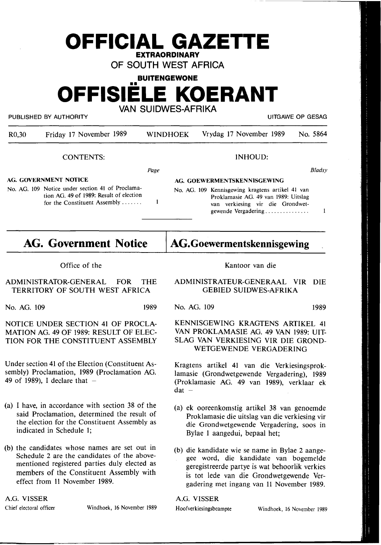# **OFFICIAL GAZETTE EXTRAORDINARY OF SOUTH WEST AFRICA**

**BUITENGEWONE** 

•• **OFFISIELE KOERANT** 

**VAN SUIDWES-AFRIKA** 

PUBLISHED BY AUTHORITY **AUTHORITY EXAGE OP GESAGE OF SESAGE OP GESAGE OF SESAGE OF GESAGE OF GESAGE OF GESAGE OF GESAGE OF GESAGE OF GESAGE OF GESAGE OF GESAGE OF GESAGE OF GESAGE OF GESAGE OF GESAGE OF GESAGE OF GESAGE** 

R0,30 Friday 17 November 1989 WINDHOEK Vrydag 17 November 1989 No. 5864 lNHOUD: CONTENTS: *Bladsy*  Page **AG. GOVERNMENT NOTICE AG. GOEWERMENTSKENNISGEWING**  No. AG. 109 Notice under section 41 of Proclama-No. AG. 109 Kennisgewing kragtens artikel 41 van tion AG. 49 of 1989: Result of election Proklamasie AG. 49 van 1989: Uitslag  $\mathbf{1}$ for the Constituent Assembly ...... . van verkiesing vir die Grondwet- $\mathbf{1}$ gewende Vergadering ..............

# **AG. Government Notice**

**AG.Goewermentskennisgewing** 

Kantoor van die

**ADMINISTRATEUR-GENERAAL VIR DIE GEBIED SUIDWES-AFRIKA** 

Office of the

ADMINISTRATOR-GENERAL FOR THE TERRITORY OF SOUTH WEST AFRICA

NOTICE UNDER SECTION 41 OF PROCLA-MATION AG. 49 OF 1989: RESULT OF ELEC-TION FOR THE CONSTITUENT ASSEMBLY

Under section 41 of the Election (Constituent Assembly) Proclamation, 1989 (Proclamation AG.

No. AG. 109 1989

No. AG. 109 1989

## KENNISGEWING KRAGTENS ARTIKEL 41 VAN PROKLAMASIE AG. 49 VAN 1989: UIT-SLAG VAN VERKIESING VIR DIE GROND-WETGEWENDE VERGADERING

Kragtens artikel 41 van die Verkiesingsproklamasie (Grondwetgewende Vergadering), 1989 (Proklamasie AG. 49 van 1989), verklaar ek  $dat -$ 

- (a) ek ooreenkomstig artikel 38 van genoemde Proklamasie die uitslag van die verkiesing vir die Grondwetgewende Vergadering, soos in Bylae 1 aangedui, bepaal het;
- (b) die kandidate wie se name in Bylae 2 aangegee word, die kandidate van bogemdde geregistreerde partye is wat behoorlik verkies is tot lede van die Grondwetgewende Vergadering met ingang van 11 November 1989.

**A.G. VISSER** 

Chief electoral officer Windhoek, 16 November 1989

49 of 1989), I declare that  $-$ 

- (a) I have, in accordance with section 38 of the said Proclamation, determined the result of the election for the Constituent Assembly as indicated in Schedule 1;
- (b) the candidates whose names are set out in Schedule 2 are the candidates of the abovementioned registered parties duly elected as members of the Constituent Assembly with effect from 11 November 1989.

**A.G. VISSER**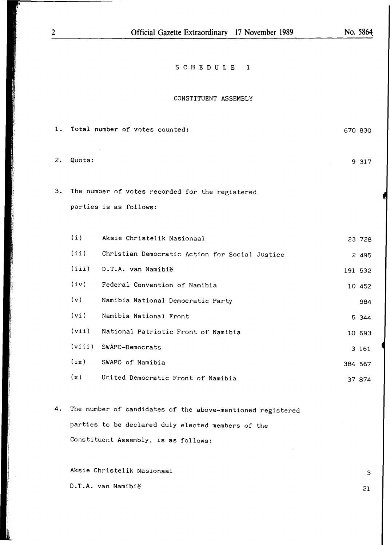670 830

## S C H E D U L E 1

#### CONSTITUENT ASSEMBLY

| 2. | Quota: |                                                 |         | 9 317   |
|----|--------|-------------------------------------------------|---------|---------|
| 3. |        | The number of votes recorded for the registered |         |         |
|    |        | parties is as follows:                          |         |         |
|    |        |                                                 |         |         |
|    | (i)    | Aksie Christelik Nasionaal                      |         | 23 728  |
|    | (ii)   | Christian Democratic Action for Social Justice  |         | 2 4 9 5 |
|    | (iii)  | D.T.A. van Namibië                              |         | 191 532 |
|    | (iv)   | Federal Convention of Namibia                   |         | 10 452  |
|    | (v)    | Namibia National Democratic Party               |         | 984     |
|    | (vi)   | Namibia National Front                          |         | 5 344   |
|    | (vii)  | National Patriotic Front of Namibia             |         | 10 693  |
|    | (viii) | SWAPO-Democrats                                 |         | 3 161   |
|    | (ix)   | SWAPO of Namibia                                | 384 567 |         |

- **(x)** United Democratic Front of Namibia 37 874
- 4. The number of candidates of the above-mentioned registered parties to be declared duly elected members of the Constituent Assembly, is as follows:

Aksie Christelik Nasionaal D.T.A. van Namibie

1. Total number of votes counted:

i l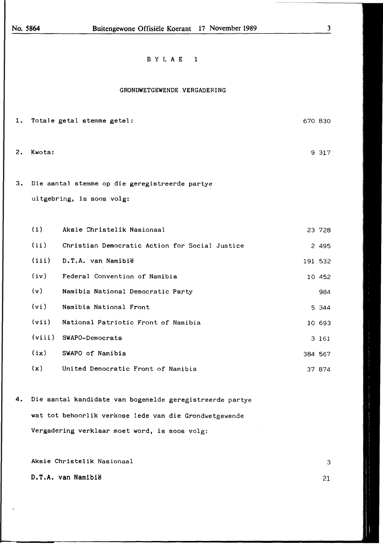3

### B Y L A E 1

#### GRONDWETGEWENDE VERGADERING

- 1. Totale getal stemme getel: 2. Kwota: 3. Die aantal stemme op die geregistreerde partye uitgebring, is soos volg: ( i) Aksie Christelik Nasionaal ( ii ) Christian Democratic Action for Social Justice (iii) D.T.A. van Namibie (iv) Federal Convention of Namibia **(v)** Namibia National Democratic Party **(vi)** Namibia National Front **(vii)** National Patriotic Front of Namibia **(viii)** SWAPO-Democrats **(ix)** SWAPO of Namibia **(x)** United Democratic Front of Namibia 670 830 9 317 23 728 2 495 191 532 10 452 984 5 344 10 693 3 161 384 567 37 874
- **4.** Die aantal kandidate van bogemelde geregistreerde partye wat tot behoorlik verkose lede van die Grondwetgewende Vergadering verklaar moet word, is soos volg:

Aksie Christelik Nasionaal

D.T.A. van Namibie

21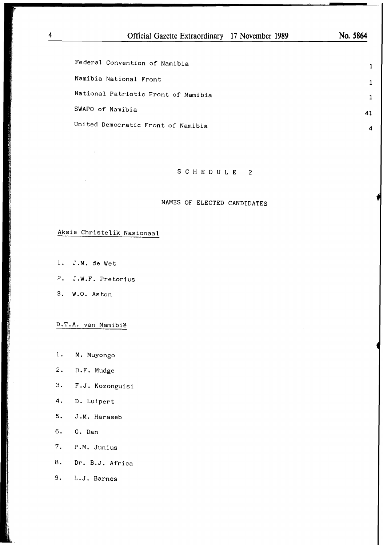Federal Convention of Namibia Namibia National Front

National Patriotic Front of Namibia

SWAPO of Namibia

United Democratic Front of Namibia

### S C H E D U L E 2

#### NAMES OF ELECTED CANDIDATES

# Aksie Christelik Nasionaal

- $1.$  J.M. de Wet
- I} 2. J.W.F. Pretorius
- <sup>~</sup>3. W.O. Aston

1,

D.T.A. van Namibie

- 1. **M.** Muyongo
- 2. D.F. Mudge
- 3. F.J. Kozonguisi
- 4. D. Luipert
- 5. J.M. Haraseb
- 6. G. Dan
- 7. P.M. Junius
- 8. Dr. B.J. Africa
- 9. L.J. Barnes

**1 1** 

**1**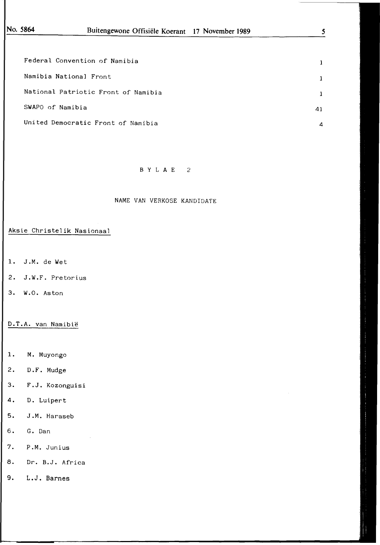| Federal Convention of Namibia       | 1              |
|-------------------------------------|----------------|
| Namibia National Front              | 1              |
| National Patriotic Front of Namibia | $\mathbf{1}$   |
| SWAPO of Namibia                    | 41             |
| United Democratic Front of Namibia  | $\overline{a}$ |

### B Y L **A** E 2

#### NAME VAN VERKOSE KANDIDATE

### Aksie Christelik Nasionaal

- **1.** J.M. de Wet
- 2. J.W.F. Pretorius
- 3. W.O. Aston

### D.T.A. van Namibie

- 1. M. Muyongo
- 2. D.F. Mudge
- 3. F.J. Kozonguisi
- 4. D. Luipert
- 5. J.M. Haraseb
- 6. G. Dan
- 7. P.M. Junius
- 8. Dr. B.J. Africa
- 9. L.J. Barnes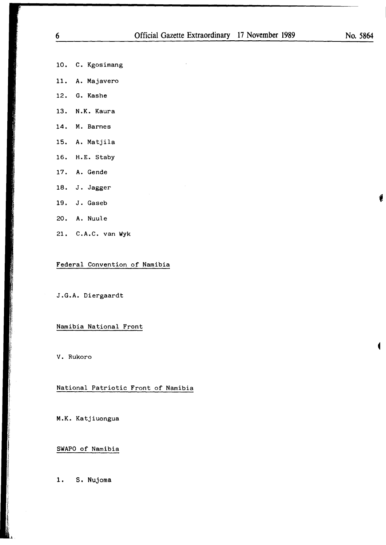- 10. C. Kgosimang
- 11. A. Majavero
- 12. G. Kashe
- 13. N.K. Kaura
- **14.** M. Barnes
- 15. A. Matjila
- 16. H.E. Staby
- 17. A. Gende

- 18. J. Jagger
- 19. J. Gaseb **1**
- 20. A. Nuule
- 21. C.A.C. van Wyk

Federal Convention of Namibia

J.G.A. Diergaardt

Namibia National Front

◄ V. Rukoro

National Patriotic Front of Namibia

**M.K.** Katjiuongua

SWAPO of Namibia

1. S. Nujoma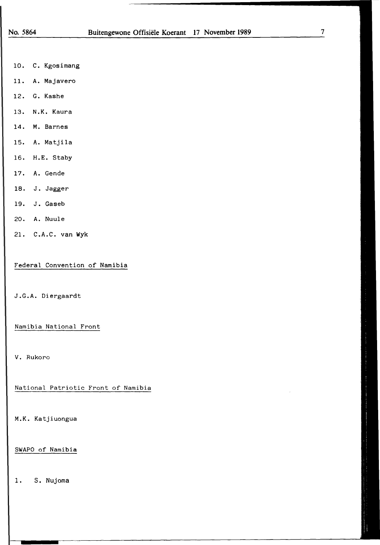- 10. C. Kgosimang
- 11. A. Majavero
- 12. G. Kashe
- 13. N.K. Kaura
- 14. M. Barnes
- 15. A. Matjila
- 16. H.E. Staby
- 17. A. Gende
- 18. J. Jagger
- 19. J. Gaseb
- 20. A. Nuule
- 21. C.A.C. van Wyk

Federal Convention of Namibia

J.G.A. Diergaardt

Namibia National Front

V. Rukoro

National Patriotic Front of Namibia

M.K. Katjiuongua

SWAPO of Namibia

1. S. Nujoma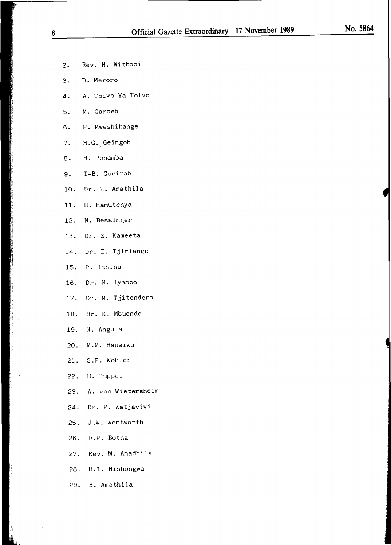- 
- 2. Rev. H. Witbooi
- 3. D. Meroro
- 4. A. Toivo Ya Toivo
- 5. **M.** Garoeb
- 6. P. Mweshihange
- 7. H.G. Geingob
- 8. H. Pohamba
- 9. T-B. Gurirab
- 10. Dr. L. Amathila
- 11. H. Hamutenya
- 12. N. Bessinger
- 13. Dr. Z. Kameeta
- 14. Dr. E. Tjiriange
- 15. P. Ithana
- 16. Dr. N. Iyambo
- 17. Dr. **M.** Tjitendero
- 18. Dr. K. Mbuende
- 19. N. Angula
- 20. M.M. Hausiku
- 21. S.P. Wohler
- 22. H. Ruppel
- 23. A. von Wietersheim
- 24. Dr. P. Katjavivi
- 25. J.W. Wentworth
- 26. D.P. Botha
- 27. Rev. M. Amadhila
- 28. H.T. Hishongwa
- 29. B. Amathila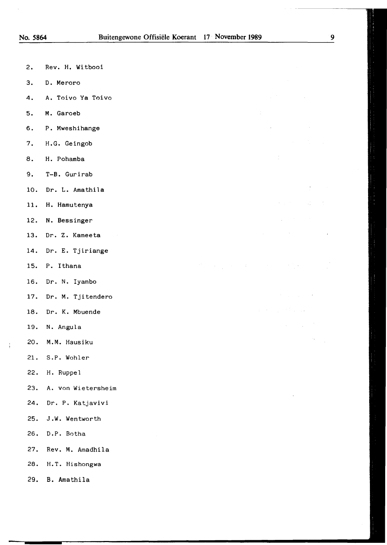- 2. Rev. H. Witbooi
- 3. D. Meroro
- 4. A. Toivo Ya Toivo
- 5. **M.** Garoeb
- 6. P. Mweshihange
- 7. H.G. Geingob
- 8. H. Pohamba
- 9. T-B. Gurirab
- 10. Dr. L. Amathila
- 11. H. Hamutenya
- 12. **N.** Bessinger
- 13. Dr. Z. Kameeta
- 14. Dr. E. Tjiriange
- 15. P. Ithana
- 16. Dr. N. Iyambo
- 17. Dr. M. Tjitendero
- 18. Dr. K. Mbuende
- 19. N. Angula
- 20. M.M. Hausiku
- 21. S.P. Wohler
- 22. H. Ruppel
- 23. A. von Wietersheim
- 24. Dr. P. Katjavivi
- 25. J.W. Wentworth
- 26. D.P. Botha
- 27. Rev. M. Amadhila
- 28. H.T. Hishongwa
- 29. B. Amathila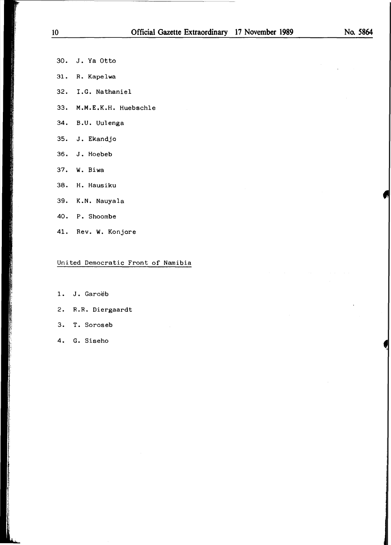- 30. J. Ya Otto
- 31. R. Kapelwa
- 32. I.G. Nathaniel
- 33. **M.M.E.K.H.** Huebschle
- 34. B.U. Uulenga
- 35. J. Ekandjo
- 36. J. Hoebeb
- 37. W. Biwa
- 38. H. Hausiku
- 39. K.N. Nauyala
- 40. P. Shoombe
- 41. Rev. W. Konjore

## United Democratic Front of Namibia

- 1. J. Garoëb
- 2. R.R. Diergaardt
- 3. T. Soroseb
- 4. G. Siseho

I

**THE RESIDENT OF A REAL PROPERTY**